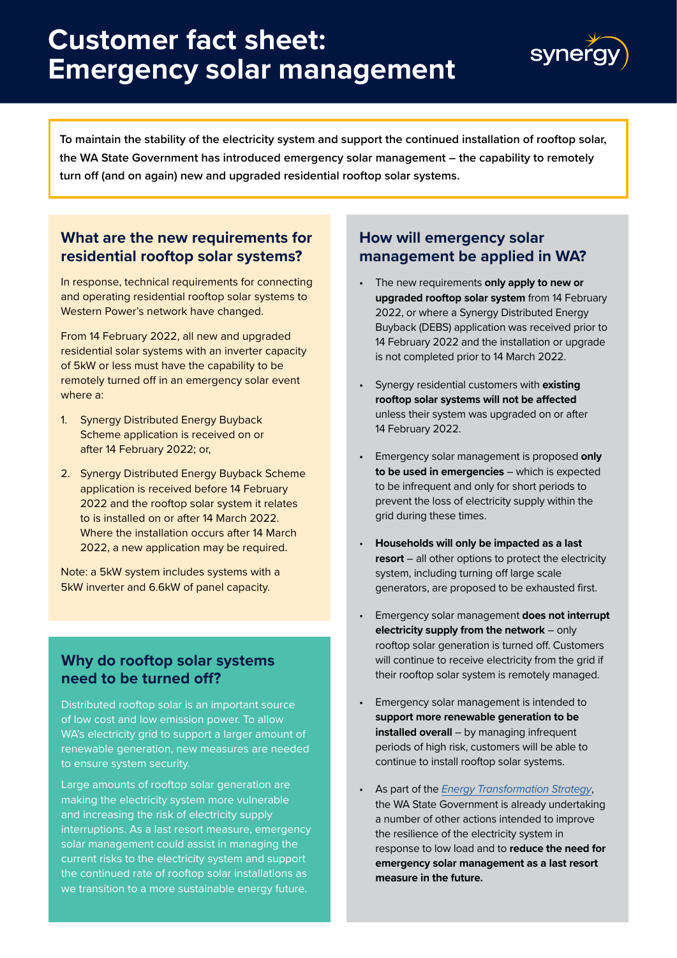# **Customer fact sheet: Emergency solar management**



**To maintain the stability of the electricity system and support the continued installation of rooftop solar, the WA State Government has introduced emergency solar management – the capability to remotely turn off (and on again) new and upgraded residential rooftop solar systems.** 

## **What are the new requirements for residential rooftop solar systems?**

In response, technical requirements for connecting and operating residential rooftop solar systems to Western Power's network have changed.

From 14 February 2022, all new and upgraded residential solar systems with an inverter capacity of 5kW or less must have the capability to be remotely turned off in an emergency solar event where a:

- 1. Synergy Distributed Energy Buyback Scheme application is received on or after 14 February 2022; or,
- 2. Synergy Distributed Energy Buyback Scheme application is received before 14 February 2022 and the rooftop solar system it relates to is installed on or after 14 March 2022. Where the installation occurs after 14 March 2022, a new application may be required.

Note: a 5kW system includes systems with a 5kW inverter and 6.6kW of panel capacity.

## **Why do rooftop solar systems need to be turned off?**

Distributed rooftop solar is an important source of low cost and low emission power. To allow WA's electricity grid to support a larger amount of renewable generation, new measures are needed to ensure system security.

Large amounts of rooftop solar generation are making the electricity system more vulnerable and increasing the risk of electricity supply interruptions. As a last resort measure, emergency solar management could assist in managing the current risks to the electricity system and support the continued rate of rooftop solar installations as we transition to a more sustainable energy future.

## **How will emergency solar management be applied in WA?**

- The new requirements **only apply to new or upgraded rooftop solar system** from 14 February 2022, or where a Synergy Distributed Energy Buyback (DEBS) application was received prior to 14 February 2022 and the installation or upgrade is not completed prior to 14 March 2022.
- Synergy residential customers with **existing rooftop solar systems will not be affected** unless their system was upgraded on or after 14 February 2022.
- Emergency solar management is proposed **only to be used in emergencies** – which is expected to be infrequent and only for short periods to prevent the loss of electricity supply within the grid during these times.
- **Households will only be impacted as a last resort** – all other options to protect the electricity system, including turning off large scale generators, are proposed to be exhausted first.
- Emergency solar management **does not interrupt electricity supply from the network** – only rooftop solar generation is turned off. Customers will continue to receive electricity from the grid if their rooftop solar system is remotely managed.
- Emergency solar management is intended to **support more renewable generation to be installed overall** – by managing infrequent periods of high risk, customers will be able to continue to install rooftop solar systems.
- As part of the *[Energy Transformation Strategy](https://www.wa.gov.au/organisation/energy-policy-wa/energy-transformation-strategy)*, the WA State Government is already undertaking a number of other actions intended to improve the resilience of the electricity system in response to low load and to **reduce the need for emergency solar management as a last resort measure in the future.**